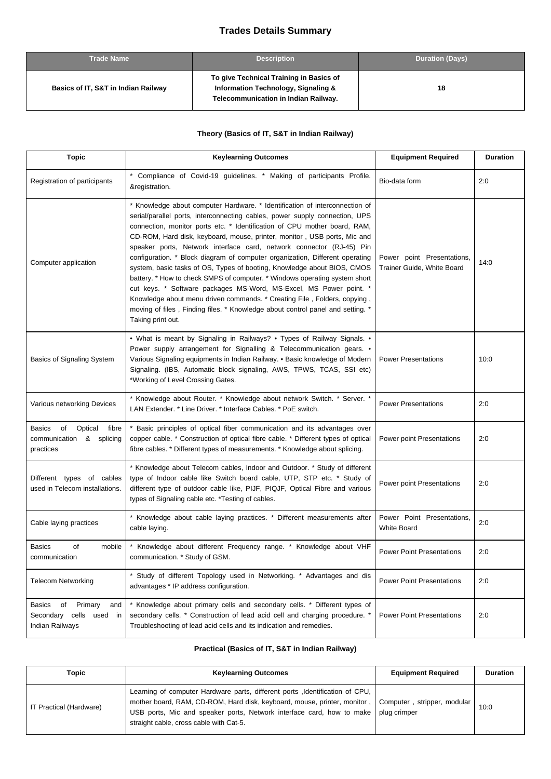## **Trades Details Summary**

| <b>Trade Name</b>                   | <b>Description</b>                                                                                                     | <b>Duration (Days)</b> |
|-------------------------------------|------------------------------------------------------------------------------------------------------------------------|------------------------|
| Basics of IT, S&T in Indian Railway | To give Technical Training in Basics of<br>Information Technology, Signaling &<br>Telecommunication in Indian Railway. | 18                     |

## **Theory (Basics of IT, S&T in Indian Railway)**

| <b>Topic</b>                                                                 | <b>Keylearning Outcomes</b>                                                                                                                                                                                                                                                                                                                                                                                                                                                                                                                                                                                                                                                                                                                                                                                                                                                                   | <b>Equipment Required</b>                                | <b>Duration</b> |
|------------------------------------------------------------------------------|-----------------------------------------------------------------------------------------------------------------------------------------------------------------------------------------------------------------------------------------------------------------------------------------------------------------------------------------------------------------------------------------------------------------------------------------------------------------------------------------------------------------------------------------------------------------------------------------------------------------------------------------------------------------------------------------------------------------------------------------------------------------------------------------------------------------------------------------------------------------------------------------------|----------------------------------------------------------|-----------------|
| Registration of participants                                                 | Compliance of Covid-19 guidelines. * Making of participants Profile.<br>&registration.                                                                                                                                                                                                                                                                                                                                                                                                                                                                                                                                                                                                                                                                                                                                                                                                        | Bio-data form                                            | 2:0             |
| Computer application                                                         | * Knowledge about computer Hardware. * Identification of interconnection of<br>serial/parallel ports, interconnecting cables, power supply connection, UPS<br>connection, monitor ports etc. * Identification of CPU mother board, RAM,<br>CD-ROM, Hard disk, keyboard, mouse, printer, monitor, USB ports, Mic and<br>speaker ports, Network interface card, network connector (RJ-45) Pin<br>configuration. * Block diagram of computer organization, Different operating<br>system, basic tasks of OS, Types of booting, Knowledge about BIOS, CMOS<br>battery. * How to check SMPS of computer. * Windows operating system short<br>cut keys. * Software packages MS-Word, MS-Excel, MS Power point. *<br>Knowledge about menu driven commands. * Creating File, Folders, copying,<br>moving of files, Finding files. * Knowledge about control panel and setting. *<br>Taking print out. | Power point Presentations,<br>Trainer Guide, White Board | 14:0            |
| Basics of Signaling System                                                   | • What is meant by Signaling in Railways? • Types of Railway Signals. •<br>Power supply arrangement for Signalling & Telecommunication gears. •<br>Various Signaling equipments in Indian Railway. • Basic knowledge of Modern<br>Signaling. (IBS, Automatic block signaling, AWS, TPWS, TCAS, SSI etc)<br>*Working of Level Crossing Gates.                                                                                                                                                                                                                                                                                                                                                                                                                                                                                                                                                  | <b>Power Presentations</b>                               | 10:0            |
| Various networking Devices                                                   | * Knowledge about Router. * Knowledge about network Switch. * Server. *<br>LAN Extender. * Line Driver. * Interface Cables. * PoE switch.                                                                                                                                                                                                                                                                                                                                                                                                                                                                                                                                                                                                                                                                                                                                                     | <b>Power Presentations</b>                               | 2:0             |
| of<br>Optical<br>Basics<br>fibre<br>communication & splicing<br>practices    | * Basic principles of optical fiber communication and its advantages over<br>copper cable. * Construction of optical fibre cable. * Different types of optical<br>fibre cables. * Different types of measurements. * Knowledge about splicing.                                                                                                                                                                                                                                                                                                                                                                                                                                                                                                                                                                                                                                                | Power point Presentations                                | 2:0             |
| Different types of cables<br>used in Telecom installations.                  | * Knowledge about Telecom cables, Indoor and Outdoor. * Study of different<br>type of Indoor cable like Switch board cable, UTP, STP etc. * Study of<br>different type of outdoor cable like, PIJF, PIQJF, Optical Fibre and various<br>types of Signaling cable etc. *Testing of cables.                                                                                                                                                                                                                                                                                                                                                                                                                                                                                                                                                                                                     | Power point Presentations                                | 2:0             |
| Cable laying practices                                                       | * Knowledge about cable laying practices. * Different measurements after<br>cable laying.                                                                                                                                                                                                                                                                                                                                                                                                                                                                                                                                                                                                                                                                                                                                                                                                     | Power Point Presentations,<br>White Board                | 2:0             |
| <b>Basics</b><br>of<br>mobile<br>communication                               | * Knowledge about different Frequency range. * Knowledge about VHF<br>communication. * Study of GSM.                                                                                                                                                                                                                                                                                                                                                                                                                                                                                                                                                                                                                                                                                                                                                                                          | <b>Power Point Presentations</b>                         | 2:0             |
| <b>Telecom Networking</b>                                                    | * Study of different Topology used in Networking. * Advantages and dis<br>advantages * IP address configuration.                                                                                                                                                                                                                                                                                                                                                                                                                                                                                                                                                                                                                                                                                                                                                                              | <b>Power Point Presentations</b>                         | 2:0             |
| Basics<br>of<br>Primary<br>and<br>Secondary cells used in<br>Indian Railways | * Knowledge about primary cells and secondary cells. * Different types of<br>secondary cells. * Construction of lead acid cell and charging procedure. *<br>Troubleshooting of lead acid cells and its indication and remedies.                                                                                                                                                                                                                                                                                                                                                                                                                                                                                                                                                                                                                                                               | <b>Power Point Presentations</b>                         | 2:0             |

## **Practical (Basics of IT, S&T in Indian Railway)**

| Topic                   | <b>Keylearning Outcomes</b>                                                                                                                                                                                                                                                   | <b>Equipment Required</b>                   | <b>Duration</b> |
|-------------------------|-------------------------------------------------------------------------------------------------------------------------------------------------------------------------------------------------------------------------------------------------------------------------------|---------------------------------------------|-----------------|
| IT Practical (Hardware) | Learning of computer Hardware parts, different ports , Identification of CPU,<br>mother board, RAM, CD-ROM, Hard disk, keyboard, mouse, printer, monitor,<br>USB ports, Mic and speaker ports, Network interface card, how to make<br>straight cable, cross cable with Cat-5. | Computer, stripper, modular<br>plug crimper | 10:0            |